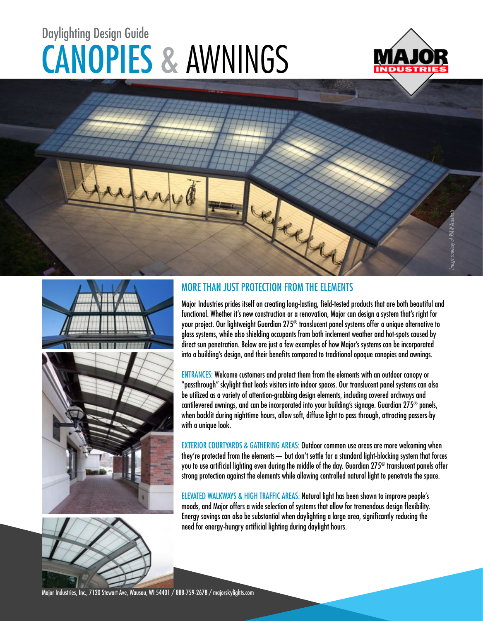# CANOPIES & AWNINGS Daylighting Design Guide







### MORE THAN JUST PROTECTION FROM THE ELEMENTS

they

Major Industries prides itself on creating long-lasting, field-tested products that are both beautiful and functional. Whether it's new construction or a renovation, Major can design a system that's right for your project. Our lightweight Guardian 275® translucent panel systems offer a unique alternative to glass systems, while also shielding occupants from both inclement weather and hot-spots caused by direct sun penetration. Below are just a few examples of how Major's systems can be incorporated into a building's design, and their benefits compared to traditional opaque canopies and awnings.

ENTRANCES: Welcome customers and protect them from the elements with an outdoor canopy or "passthrough" skylight that leads visitors into indoor spaces. Our translucent panel systems can also be utilized as a variety of attention-grabbing design elements, including covered archways and cantilevered awnings, and can be incorporated into your building's signage. Guardian 275® panels, when backlit during nighttime hours, allow soft, diffuse light to pass through, attracting passers-by with a unique look.

EXTERIOR COURTYARDS & GATHERING AREAS: Outdoor common use areas are more welcoming when they're protected from the elements— but don't settle for a standard light-blocking system that forces you to use artificial lighting even during the middle of the day. Guardian 275® translucent panels offer strong protection against the elements while allowing controlled natural light to penetrate the space.

ELEVATED WALKWAYS & HIGH TRAFFIC AREAS: Natural light has been shown to improve people's moods, and Major offers a wide selection of systems that allow for tremendous design flexibility. Energy savings can also be substantial when daylighting a large area, significantly reducing the need for energy-hungry artificial lighting during daylight hours.

Major Industries, Inc., 7120 Stewart Ave, Wausau, WI 54401 / 888-759-2678 / majorskylights.com